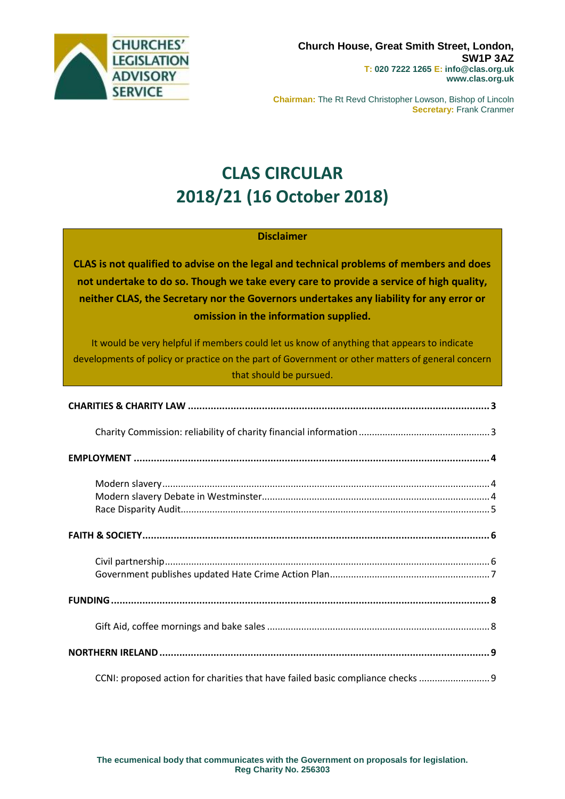

**Chairman:** The Rt Revd Christopher Lowson, Bishop of Lincoln **Secretary:** Frank Cranmer

# **CLAS CIRCULAR 2018/21 (16 October 2018)**

### **Disclaimer**

**CLAS is not qualified to advise on the legal and technical problems of members and does not undertake to do so. Though we take every care to provide a service of high quality, neither CLAS, the Secretary nor the Governors undertakes any liability for any error or omission in the information supplied.**

It would be very helpful if members could let us know of anything that appears to indicate developments of policy or practice on the part of Government or other matters of general concern that should be pursued.

| CCNI: proposed action for charities that have failed basic compliance checks |  |
|------------------------------------------------------------------------------|--|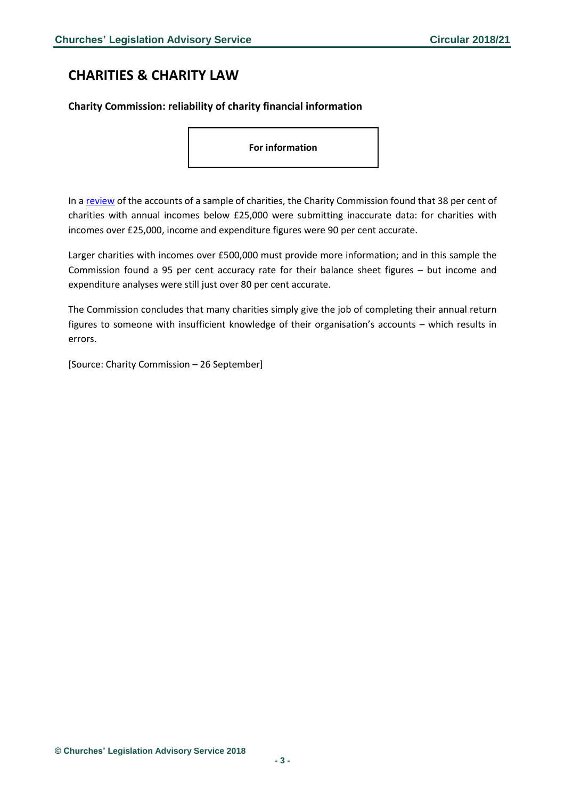# <span id="page-2-0"></span>**CHARITIES & CHARITY LAW**

### <span id="page-2-1"></span>**Charity Commission: reliability of charity financial information**

**For information**

In a [review](https://www.gov.uk/government/publications/accounts-monitoring-review-assessing-the-standard-of-charity-financial-information/accounts-monitoring-review-assessing-the-standard-of-charity-financial-information) of the accounts of a sample of charities, the Charity Commission found that 38 per cent of charities with annual incomes below £25,000 were submitting inaccurate data: for charities with incomes over £25,000, income and expenditure figures were 90 per cent accurate.

Larger charities with incomes over £500,000 must provide more information; and in this sample the Commission found a 95 per cent accuracy rate for their balance sheet figures – but income and expenditure analyses were still just over 80 per cent accurate.

The Commission concludes that many charities simply give the job of completing their annual return figures to someone with insufficient knowledge of their organisation's accounts – which results in errors.

[Source: Charity Commission – 26 September]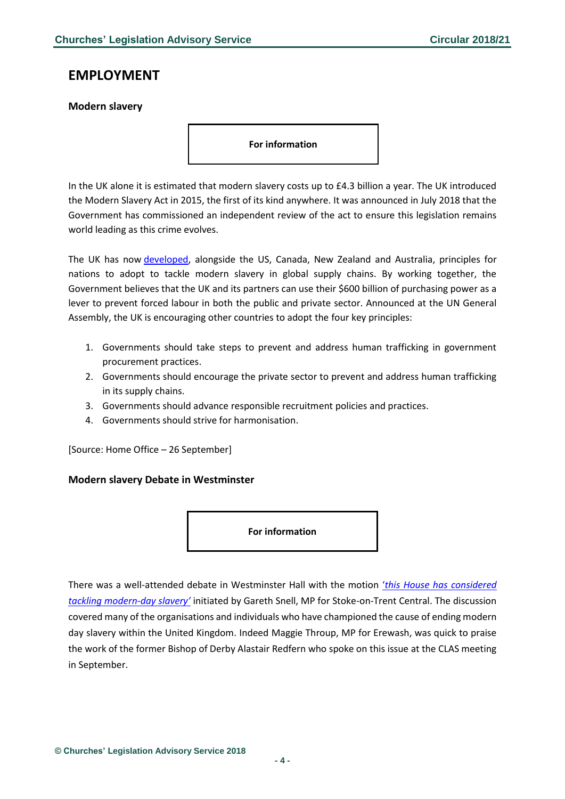### <span id="page-3-0"></span>**EMPLOYMENT**

### <span id="page-3-1"></span>**Modern slavery**

**For information**

In the UK alone it is estimated that modern slavery costs up to £4.3 billion a year. The UK introduced the Modern Slavery Act in 2015, the first of its kind anywhere. It was announced in July 2018 that the Government has commissioned an independent review of the act to ensure this legislation remains world leading as this crime evolves.

The UK has now [developed,](https://www.gov.uk/government/news/uk-agrees-principles-for-tackling-modern-slavery-in-supply-chains) alongside the US, Canada, New Zealand and Australia, principles for nations to adopt to tackle modern slavery in global supply chains. By working together, the Government believes that the UK and its partners can use their \$600 billion of purchasing power as a lever to prevent forced labour in both the public and private sector. Announced at the UN General Assembly, the UK is encouraging other countries to adopt the four key principles:

- 1. Governments should take steps to prevent and address human trafficking in government procurement practices.
- 2. Governments should encourage the private sector to prevent and address human trafficking in its supply chains.
- 3. Governments should advance responsible recruitment policies and practices.
- 4. Governments should strive for harmonisation.

[Source: Home Office – 26 September]

#### <span id="page-3-2"></span>**Modern slavery Debate in Westminster**

**For information**

There was a well-attended debate in Westminster Hall with the motion '*[this House has](https://www.theyworkforyou.com/whall/?id=2018-10-09a.65.1&s=charity#g76.0) considered [tackling modern-](https://www.theyworkforyou.com/whall/?id=2018-10-09a.65.1&s=charity#g76.0)day slavery'* initiated by Gareth Snell, MP for Stoke-on-Trent Central. The discussion covered many of the organisations and individuals who have championed the cause of ending modern day slavery within the United Kingdom. Indeed Maggie Throup, MP for Erewash, was quick to praise the work of the former Bishop of Derby Alastair Redfern who spoke on this issue at the CLAS meeting in September.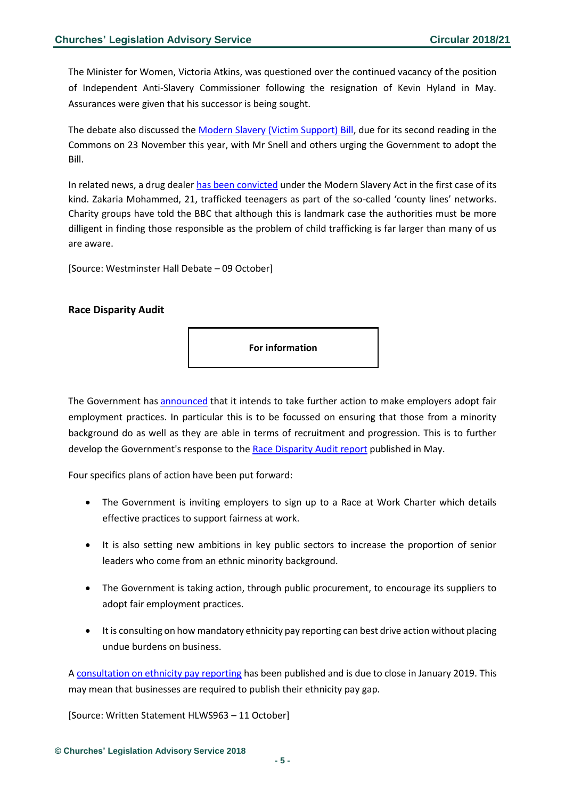The Minister for Women, Victoria Atkins, was questioned over the continued vacancy of the position of Independent Anti-Slavery Commissioner following the resignation of Kevin Hyland in May. Assurances were given that his successor is being sought.

The debate also discussed the [Modern Slavery \(Victim Support\) Bill,](https://services.parliament.uk/bills/2017-19/modernslaveryvictimsupport.html) due for its second reading in the Commons on 23 November this year, with Mr Snell and others urging the Government to adopt the Bill.

In related news, a drug dealer [has been convicted](https://www.bbc.co.uk/news/uk-england-45733542) under the Modern Slavery Act in the first case of its kind. Zakaria Mohammed, 21, trafficked teenagers as part of the so-called 'county lines' networks. Charity groups have told the BBC that although this is landmark case the authorities must be more dilligent in finding those responsible as the problem of child trafficking is far larger than many of us are aware.

[Source: Westminster Hall Debate – 09 October]

### <span id="page-4-0"></span>**Race Disparity Audit**

**For information**

The Government has [announced](https://www.parliament.uk/business/publications/written-questions-answers-statements/written-statement/Lords/2018-10-11/HLWS963/) that it intends to take further action to make employers adopt fair employment practices. In particular this is to be focussed on ensuring that those from a minority background do as well as they are able in terms of recruitment and progression. This is to further develop the Government's response to the [Race Disparity Audit report](https://publications.parliament.uk/pa/cm201719/cmselect/cmwomeq/562/562.pdf) published in May.

Four specifics plans of action have been put forward:

- The Government is inviting employers to sign up to a Race at Work Charter which details effective practices to support fairness at work.
- It is also setting new ambitions in key public sectors to increase the proportion of senior leaders who come from an ethnic minority background.
- The Government is taking action, through public procurement, to encourage its suppliers to adopt fair employment practices.
- It is consulting on how mandatory ethnicity pay reporting can best drive action without placing undue burdens on business.

A [consultation on ethnicity pay reporting](https://www.gov.uk/government/consultations/ethnicity-pay-reporting) has been published and is due to close in January 2019. This may mean that businesses are required to publish their ethnicity pay gap.

[Source: Written Statement HLWS963 – 11 October]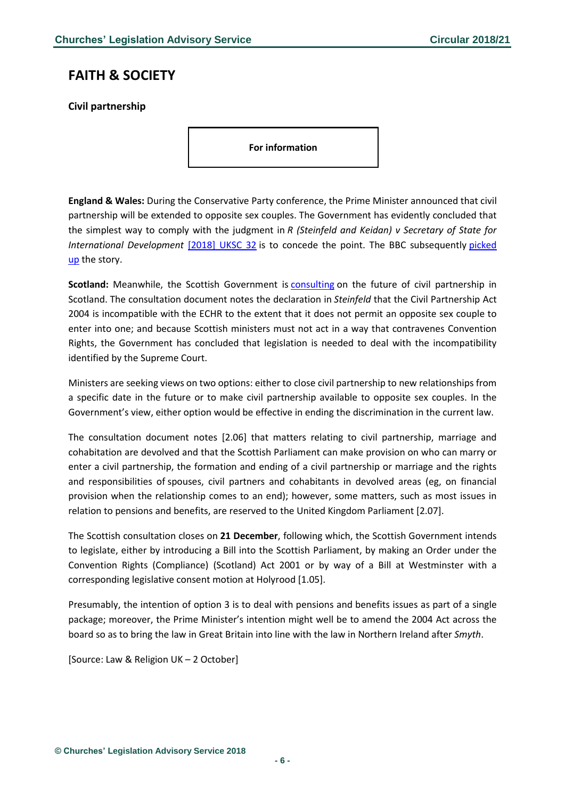# <span id="page-5-0"></span>**FAITH & SOCIETY**

<span id="page-5-1"></span>**Civil partnership**

**For information**

**England & Wales:** During the Conservative Party conference, the Prime Minister announced that civil partnership will be extended to opposite sex couples. The Government has evidently concluded that the simplest way to comply with the judgment in *R (Steinfeld and Keidan) v Secretary of State for International Development* [\[2018\]](http://www.bailii.org/uk/cases/UKSC/2018/32.html) UKSC 32 is to concede the point. The BBC subsequently [picked](https://www.bbc.co.uk/news/uk-politics-45714032) [up](https://www.bbc.co.uk/news/uk-politics-45714032) the story.

**Scotland:** Meanwhile, the Scottish Government is [consulting](https://www.gov.scot/Resource/0054/00540944.pdf) on the future of civil partnership in Scotland. The consultation document notes the declaration in *Steinfeld* that the Civil Partnership Act 2004 is incompatible with the ECHR to the extent that it does not permit an opposite sex couple to enter into one; and because Scottish ministers must not act in a way that contravenes Convention Rights, the Government has concluded that legislation is needed to deal with the incompatibility identified by the Supreme Court.

Ministers are seeking views on two options: either to close civil partnership to new relationships from a specific date in the future or to make civil partnership available to opposite sex couples. In the Government's view, either option would be effective in ending the discrimination in the current law.

The consultation document notes [2.06] that matters relating to civil partnership, marriage and cohabitation are devolved and that the Scottish Parliament can make provision on who can marry or enter a civil partnership, the formation and ending of a civil partnership or marriage and the rights and responsibilities of spouses, civil partners and cohabitants in devolved areas (eg, on financial provision when the relationship comes to an end); however, some matters, such as most issues in relation to pensions and benefits, are reserved to the United Kingdom Parliament [2.07].

The Scottish consultation closes on **21 December**, following which, the Scottish Government intends to legislate, either by introducing a Bill into the Scottish Parliament, by making an Order under the Convention Rights (Compliance) (Scotland) Act 2001 or by way of a Bill at Westminster with a corresponding legislative consent motion at Holyrood [1.05].

Presumably, the intention of option 3 is to deal with pensions and benefits issues as part of a single package; moreover, the Prime Minister's intention might well be to amend the 2004 Act across the board so as to bring the law in Great Britain into line with the law in Northern Ireland after *Smyth*.

[Source: Law & Religion UK – 2 October]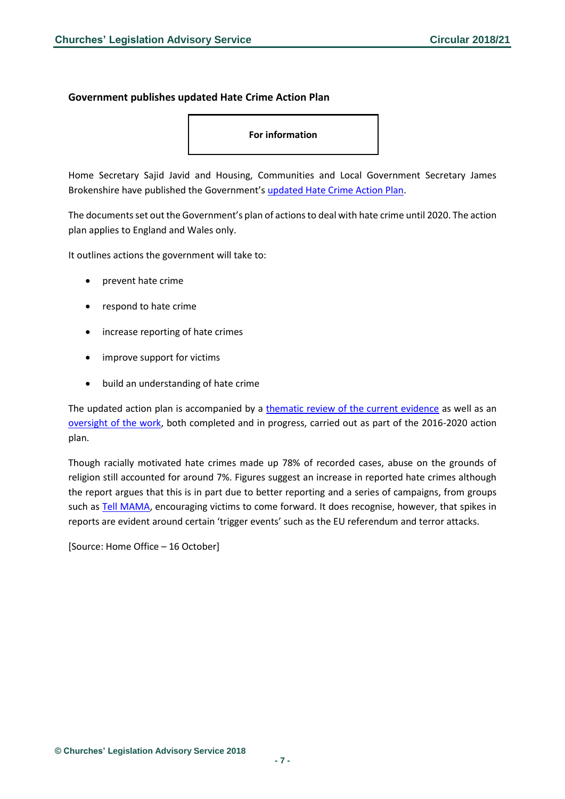#### <span id="page-6-0"></span>**Government publishes updated Hate Crime Action Plan**

**For information**

Home Secretary Sajid Javid and Housing, Communities and Local Government Secretary James Brokenshire have published the Government's [updated Hate Crime Action Plan.](https://assets.publishing.service.gov.uk/government/uploads/system/uploads/attachment_data/file/748175/Hate_crime_refresh_2018_FINAL_WEB.PDF)

The documents set out the Government's plan of actions to deal with hate crime until 2020. The action plan applies to England and Wales only.

It outlines actions the government will take to:

- prevent hate crime
- respond to hate crime
- increase reporting of hate crimes
- improve support for victims
- build an understanding of hate crime

The updated action plan is accompanied by a [thematic review of the current evidence](https://assets.publishing.service.gov.uk/government/uploads/system/uploads/attachment_data/file/748140/hate-crime-a-thematic-review-of-the-current-evidence-oct2018-horr102.pdf) as well as an [oversight of the work,](https://assets.publishing.service.gov.uk/government/uploads/system/uploads/attachment_data/file/748138/Hate_crime_refresh_2018_Actions_updates_FINAL_WEB.PDF) both completed and in progress, carried out as part of the 2016-2020 action plan.

Though racially motivated hate crimes made up 78% of recorded cases, abuse on the grounds of religion still accounted for around 7%. Figures suggest an increase in reported hate crimes although the report argues that this is in part due to better reporting and a series of campaigns, from groups such a[s Tell MAMA,](https://tellmamauk.org/) encouraging victims to come forward. It does recognise, however, that spikes in reports are evident around certain 'trigger events' such as the EU referendum and terror attacks.

```
[Source: Home Office – 16 October]
```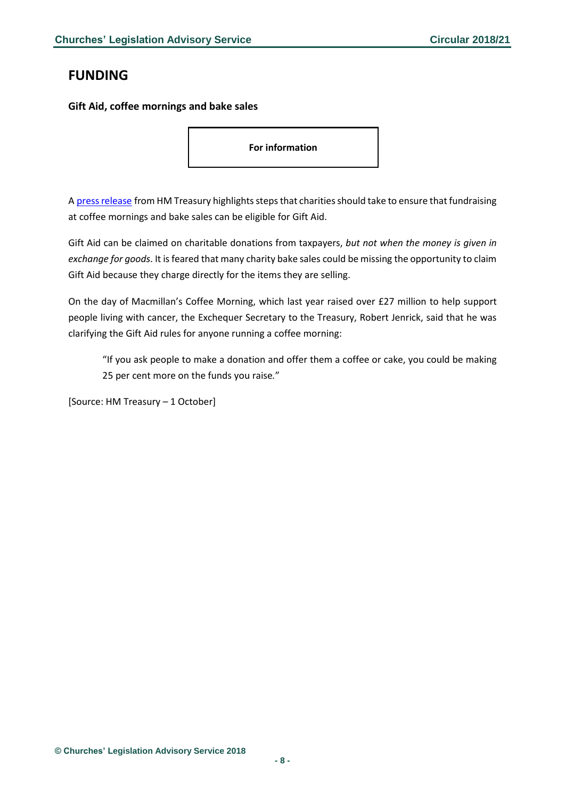# <span id="page-7-0"></span>**FUNDING**

<span id="page-7-1"></span>**Gift Aid, coffee mornings and bake sales**

**For information**

A press release from HM Treasury highlights steps that charities should take to ensure that fundraising at coffee mornings and bake sales can be eligible for Gift Aid.

Gift Aid can be claimed on charitable donations from taxpayers, *but not when the money is given in exchange for goods*. It is feared that many charity bake sales could be missing the opportunity to claim Gift Aid because they charge directly for the items they are selling.

On the day of Macmillan's Coffee Morning, which last year raised over £27 million to help support people living with cancer, the Exchequer Secretary to the Treasury, Robert Jenrick, said that he was clarifying the Gift Aid rules for anyone running a coffee morning:

"If you ask people to make a donation and offer them a coffee or cake, you could be making 25 per cent more on the funds you raise*.*"

[Source: HM Treasury – 1 October]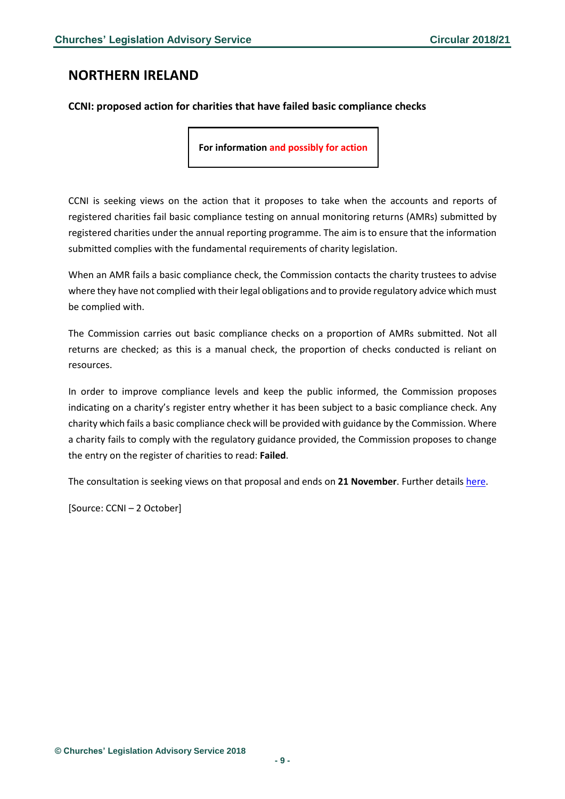### <span id="page-8-0"></span>**NORTHERN IRELAND**

### <span id="page-8-1"></span>**CCNI: proposed action for charities that have failed basic compliance checks**

**For information and possibly for action**

CCNI is seeking views on the action that it proposes to take when the accounts and reports of registered charities fail basic compliance testing on annual monitoring returns (AMRs) submitted by registered charities under the annual reporting programme. The aim is to ensure that the information submitted complies with the fundamental requirements of charity legislation.

When an AMR fails a basic compliance check, the Commission contacts the charity trustees to advise where they have not complied with their legal obligations and to provide regulatory advice which must be complied with.

The Commission carries out basic compliance checks on a proportion of AMRs submitted. Not all returns are checked; as this is a manual check, the proportion of checks conducted is reliant on resources.

In order to improve compliance levels and keep the public informed, the Commission proposes indicating on a charity's register entry whether it has been subject to a basic compliance check. Any charity which fails a basic compliance check will be provided with guidance by the Commission. Where a charity fails to comply with the regulatory guidance provided, the Commission proposes to change the entry on the register of charities to read: **Failed**.

The consultation is seeking views on that proposal and ends on **21 November**. Further details [here.](https://www.charitycommissionni.org.uk/news/compliance-consultation/)

[Source: CCNI – 2 October]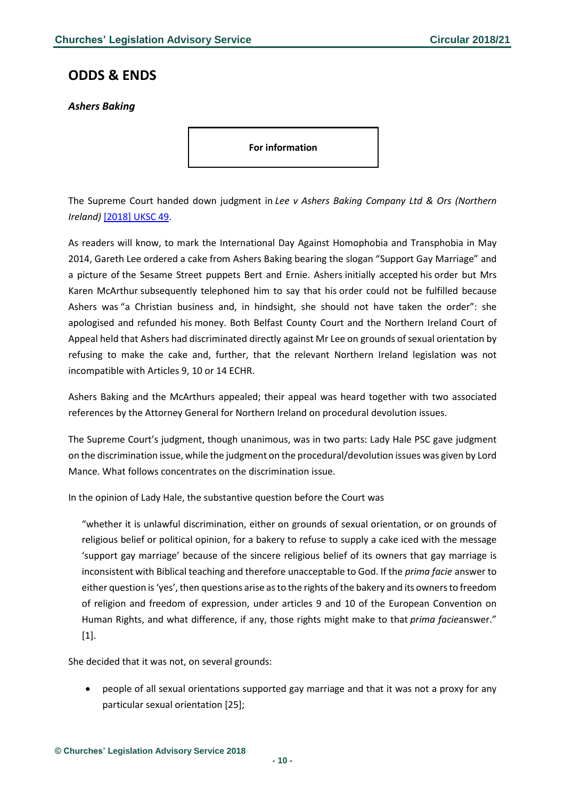### <span id="page-9-0"></span>**ODDS & ENDS**

<span id="page-9-1"></span>*Ashers Baking*

**For information**

The Supreme Court handed down judgment in *Lee v Ashers Baking Company Ltd & Ors (Northern Ireland)* [\[2018\]](https://www.bailii.org/uk/cases/UKSC/2018/49.html) UKSC 49.

As readers will know, to mark the International Day Against Homophobia and Transphobia in May 2014, Gareth Lee ordered a cake from Ashers Baking bearing the slogan "Support Gay Marriage" and a picture of the Sesame Street puppets Bert and Ernie. Ashers initially accepted his order but Mrs Karen McArthur subsequently telephoned him to say that his order could not be fulfilled because Ashers was "a Christian business and, in hindsight, she should not have taken the order": she apologised and refunded his money. Both Belfast County Court and the Northern Ireland Court of Appeal held that Ashers had discriminated directly against Mr Lee on grounds ofsexual orientation by refusing to make the cake and, further, that the relevant Northern Ireland legislation was not incompatible with Articles 9, 10 or 14 ECHR.

Ashers Baking and the McArthurs appealed; their appeal was heard together with two associated references by the Attorney General for Northern Ireland on procedural devolution issues.

The Supreme Court's judgment, though unanimous, was in two parts: Lady Hale PSC gave judgment on the discrimination issue, while the judgment on the procedural/devolution issues was given by Lord Mance. What follows concentrates on the discrimination issue.

In the opinion of Lady Hale, the substantive question before the Court was

"whether it is unlawful discrimination, either on grounds of sexual orientation, or on grounds of religious belief or political opinion, for a bakery to refuse to supply a cake iced with the message 'support gay marriage' because of the sincere religious belief of its owners that gay marriage is inconsistent with Biblical teaching and therefore unacceptable to God. If the *prima facie* answer to either question is'yes', then questions arise asto the rights ofthe bakery and its ownersto freedom of religion and freedom of expression, under articles 9 and 10 of the European Convention on Human Rights, and what difference, if any, those rights might make to that *prima facie*answer." [1].

She decided that it was not, on several grounds:

• people of all sexual orientations supported gay marriage and that it was not a proxy for any particular sexual orientation [25];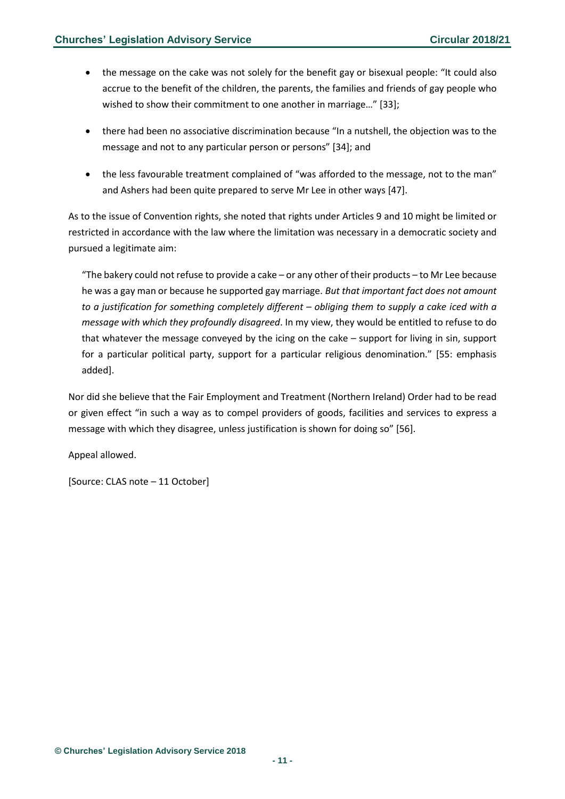- the message on the cake was not solely for the benefit gay or bisexual people: "It could also accrue to the benefit of the children, the parents, the families and friends of gay people who wished to show their commitment to one another in marriage..." [33];
- there had been no associative discrimination because "In a nutshell, the objection was to the message and not to any particular person or persons" [34]; and
- the less favourable treatment complained of "was afforded to the message, not to the man" and Ashers had been quite prepared to serve Mr Lee in other ways [47].

As to the issue of Convention rights, she noted that rights under Articles 9 and 10 might be limited or restricted in accordance with the law where the limitation was necessary in a democratic society and pursued a legitimate aim:

"The bakery could not refuse to provide a cake – or any other of their products – to Mr Lee because he was a gay man or because he supported gay marriage. *But that important fact does not amount to a justification for something completely different – obliging them to supply a cake iced with a message with which they profoundly disagreed*. In my view, they would be entitled to refuse to do that whatever the message conveyed by the icing on the cake – support for living in sin, support for a particular political party, support for a particular religious denomination." [55: emphasis added].

Nor did she believe that the Fair Employment and Treatment (Northern Ireland) Order had to be read or given effect "in such a way as to compel providers of goods, facilities and services to express a message with which they disagree, unless justification is shown for doing so" [56].

Appeal allowed.

[Source: CLAS note – 11 October]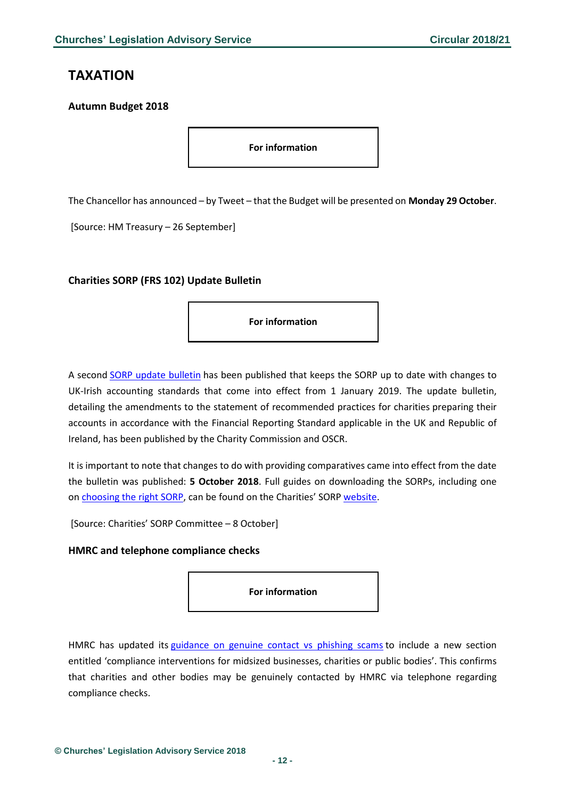# <span id="page-11-0"></span>**TAXATION**

### <span id="page-11-1"></span>**Autumn Budget 2018**

**For information**

The Chancellor has announced – by Tweet – that the Budget will be presented on **Monday 29 October**.

[Source: HM Treasury – 26 September]

### <span id="page-11-2"></span>**Charities SORP (FRS 102) Update Bulletin**

**For information**

A second SORP update [bulletin](http://www.charitiessorp.org/media/646440/update-bulletin-2.pdf) has been published that keeps the SORP up to date with changes to UK-Irish accounting standards that come into effect from 1 January 2019. The update bulletin, detailing the amendments to the statement of recommended practices for charities preparing their accounts in accordance with the Financial Reporting Standard applicable in the UK and Republic of Ireland, has been published by the Charity Commission and OSCR.

It is important to note that changes to do with providing comparatives came into effect from the date the bulletin was published: **5 October 2018**. Full guides on downloading the SORPs, including one on [choosing](http://www.charitysorp.org/choosing-the-right-sorp/) the right SORP, can be found on the Charities' SORP [website.](http://www.charitysorp.org/download-a-full-sorp/)

[Source: Charities' SORP Committee – 8 October]

#### <span id="page-11-3"></span>**HMRC and telephone compliance checks**

**For information**

HMRC has updated its [guidance](https://www.gov.uk/government/publications/genuine-hmrc-contact-and-recognising-phishing-emails) on genuine contact vs phishing scams to include a new section entitled 'compliance interventions for midsized businesses, charities or public bodies'. This confirms that charities and other bodies may be genuinely contacted by HMRC via telephone regarding compliance checks.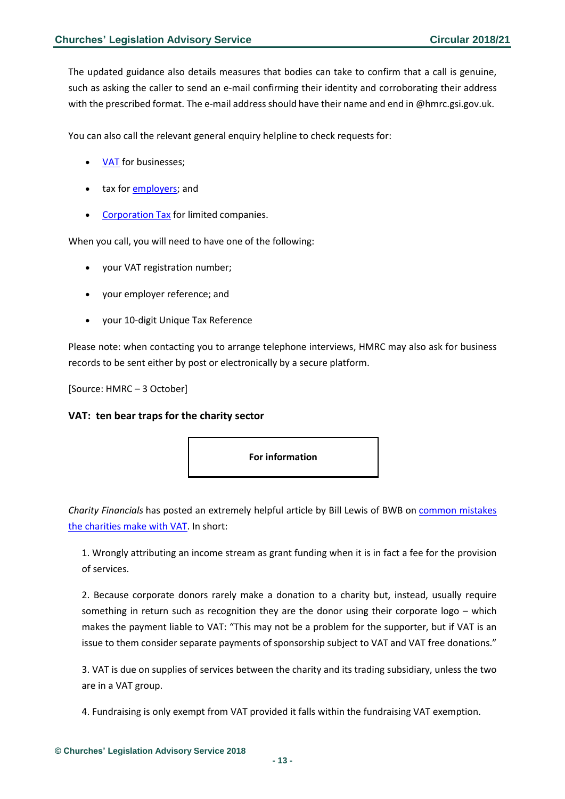The updated guidance also details measures that bodies can take to confirm that a call is genuine, such as asking the caller to send an e-mail confirming their identity and corroborating their address with the prescribed format. The e-mail address should have their name and end in @hmrc.gsi.gov.uk.

You can also call the relevant general enquiry helpline to check requests for:

- [VAT](https://www.gov.uk/government/organisations/hm-revenue-customs/contact/vat-enquiries) for businesses;
- tax for [employers;](https://www.gov.uk/government/organisations/hm-revenue-customs/contact/employer-enquiries) and
- [Corporation](https://www.gov.uk/government/organisations/hm-revenue-customs/contact/corporation-tax-enquiries) Tax for limited companies.

When you call, you will need to have one of the following:

- your VAT registration number;
- your employer reference; and
- your 10-digit Unique Tax Reference

Please note: when contacting you to arrange telephone interviews, HMRC may also ask for business records to be sent either by post or electronically by a secure platform.

[Source: HMRC – 3 October]

### <span id="page-12-0"></span>**VAT: ten bear traps for the charity sector**



*Charity Financials* has posted an extremely helpful article by Bill Lewis of BWB on [common](https://www.charityfinancials.com/charity-financials-insider/10-vat-bear-traps-for-the-charity-sector-1782.html?utm_source=exacttarget&utm_medium=email&utm_campaign=October_2018+CFI#.W7XgqcoVMk0.twitter) mistakes the [charities](https://www.charityfinancials.com/charity-financials-insider/10-vat-bear-traps-for-the-charity-sector-1782.html?utm_source=exacttarget&utm_medium=email&utm_campaign=October_2018+CFI#.W7XgqcoVMk0.twitter) make with VAT. In short:

1. Wrongly attributing an income stream as grant funding when it is in fact a fee for the provision of services.

2. Because corporate donors rarely make a donation to a charity but, instead, usually require something in return such as recognition they are the donor using their corporate logo – which makes the payment liable to VAT: "This may not be a problem for the supporter, but if VAT is an issue to them consider separate payments of sponsorship subject to VAT and VAT free donations."

3. VAT is due on supplies of services between the charity and its trading subsidiary, unless the two are in a VAT group.

4. Fundraising is only exempt from VAT provided it falls within the fundraising VAT exemption.